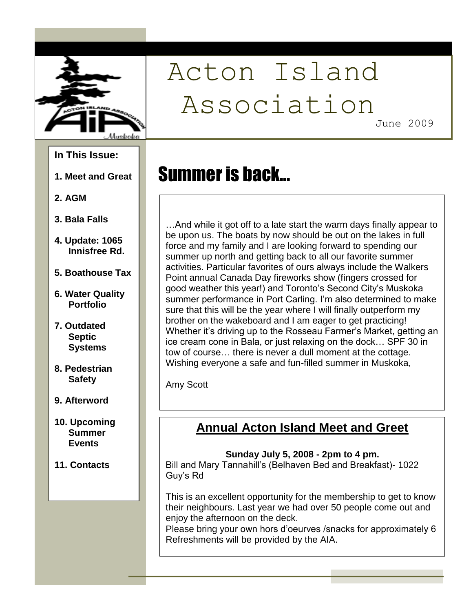

# Acton Island Association

Summer is back...

June 2009

#### **In This Issue:**

- **1. Meet and Great**
- **2. AGM**
- **3. Bala Falls**
- **4. Update: 1065 Innisfree Rd.**
- **5. Boathouse Tax**
- **6. Water Quality Portfolio**
- **7. Outdated Septic Systems**
- **8. Pedestrian Safety**
- **9. Afterword**
- **10. Upcoming Summer Events**
- **11. Contacts**

…And while it got off to a late start the warm days finally appear to be upon us. The boats by now should be out on the lakes in full force and my family and I are looking forward to spending our summer up north and getting back to all our favorite summer activities. Particular favorites of ours always include the Walkers Point annual Canada Day fireworks show (fingers crossed for good weather this year!) and Toronto's Second City's Muskoka summer performance in Port Carling. I'm also determined to make sure that this will be the year where I will finally outperform my brother on the wakeboard and I am eager to get practicing! Whether it's driving up to the Rosseau Farmer's Market, getting an ice cream cone in Bala, or just relaxing on the dock… SPF 30 in tow of course… there is never a dull moment at the cottage. Wishing everyone a safe and fun-filled summer in Muskoka,

Amy Scott

## **Annual Acton Island Meet and Greet**

#### **Sunday July 5, 2008 - 2pm to 4 pm.**

Bill and Mary Tannahill"s (Belhaven Bed and Breakfast)- 1022 Guy"s Rd

This is an excellent opportunity for the membership to get to know their neighbours. Last year we had over 50 people come out and enjoy the afternoon on the deck.

Please bring your own hors d"oeurves /snacks for approximately 6 Refreshments will be provided by the AIA.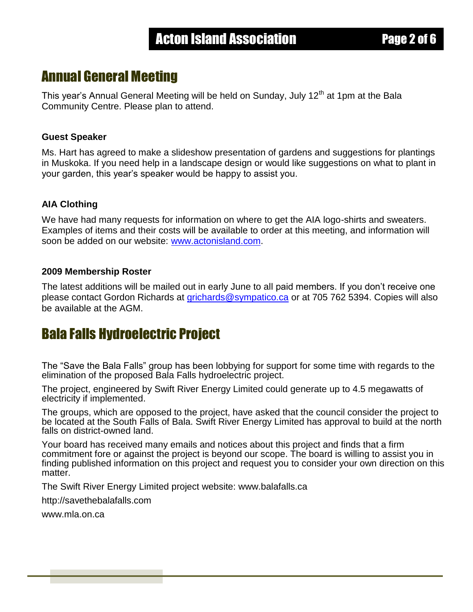## Annual General Meeting

This year's Annual General Meeting will be held on Sunday, July 12<sup>th</sup> at 1pm at the Bala Community Centre. Please plan to attend.

#### **Guest Speaker**

Ms. Hart has agreed to make a slideshow presentation of gardens and suggestions for plantings in Muskoka. If you need help in a landscape design or would like suggestions on what to plant in your garden, this year"s speaker would be happy to assist you.

#### **AIA Clothing**

We have had many requests for information on where to get the AIA logo-shirts and sweaters. Examples of items and their costs will be available to order at this meeting, and information will soon be added on our website: [www.actonisland.com.](http://www.actonisland.com/)

#### **2009 Membership Roster**

The latest additions will be mailed out in early June to all paid members. If you don"t receive one please contact Gordon Richards at [grichards@sympatico.ca](mailto:grichards@sympatico.ca) or at 705 762 5394. Copies will also be available at the AGM.

## Bala Falls Hydroelectric Project

The "Save the Bala Falls" group has been lobbying for support for some time with regards to the elimination of the proposed Bala Falls hydroelectric project.

The project, engineered by Swift River Energy Limited could generate up to 4.5 megawatts of electricity if implemented.

The groups, which are opposed to the project, have asked that the council consider the project to be located at the South Falls of Bala. Swift River Energy Limited has approval to build at the north falls on district-owned land.

Your board has received many emails and notices about this project and finds that a firm commitment fore or against the project is beyond our scope. The board is willing to assist you in finding published information on this project and request you to consider your own direction on this matter.

The Swift River Energy Limited project website: www.balafalls.ca

http://savethebalafalls.com

www.mla.on.ca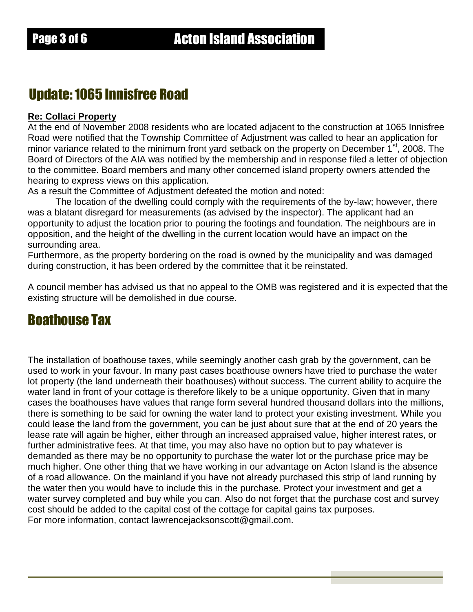## Update: 1065 Innisfree Road

#### **Re: Collaci Property**

At the end of November 2008 residents who are located adjacent to the construction at 1065 Innisfree Road were notified that the Township Committee of Adjustment was called to hear an application for minor variance related to the minimum front yard setback on the property on December 1<sup>st</sup>, 2008. The Board of Directors of the AIA was notified by the membership and in response filed a letter of objection to the committee. Board members and many other concerned island property owners attended the hearing to express views on this application.

As a result the Committee of Adjustment defeated the motion and noted:

The location of the dwelling could comply with the requirements of the by-law; however, there was a blatant disregard for measurements (as advised by the inspector). The applicant had an opportunity to adjust the location prior to pouring the footings and foundation. The neighbours are in opposition, and the height of the dwelling in the current location would have an impact on the surrounding area.

Furthermore, as the property bordering on the road is owned by the municipality and was damaged during construction, it has been ordered by the committee that it be reinstated.

A council member has advised us that no appeal to the OMB was registered and it is expected that the existing structure will be demolished in due course.

## Boathouse Tax

The installation of boathouse taxes, while seemingly another cash grab by the government, can be used to work in your favour. In many past cases boathouse owners have tried to purchase the water lot property (the land underneath their boathouses) without success. The current ability to acquire the water land in front of your cottage is therefore likely to be a unique opportunity. Given that in many cases the boathouses have values that range form several hundred thousand dollars into the millions, there is something to be said for owning the water land to protect your existing investment. While you could lease the land from the government, you can be just about sure that at the end of 20 years the lease rate will again be higher, either through an increased appraised value, higher interest rates, or further administrative fees. At that time, you may also have no option but to pay whatever is demanded as there may be no opportunity to purchase the water lot or the purchase price may be much higher. One other thing that we have working in our advantage on Acton Island is the absence of a road allowance. On the mainland if you have not already purchased this strip of land running by the water then you would have to include this in the purchase. Protect your investment and get a water survey completed and buy while you can. Also do not forget that the purchase cost and survey cost should be added to the capital cost of the cottage for capital gains tax purposes. For more information, contact lawrencejacksonscott@gmail.com.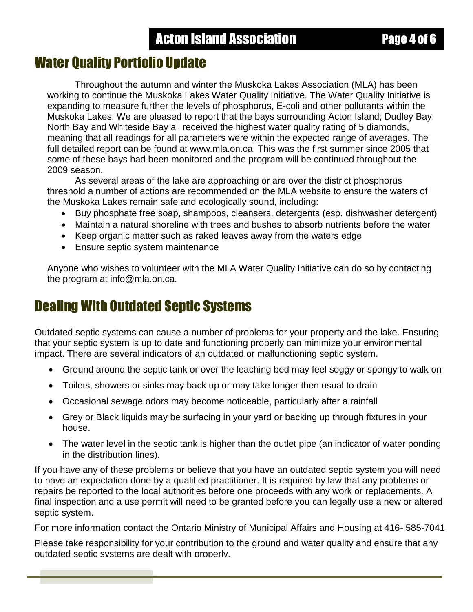## Water Quality Portfolio Update

Throughout the autumn and winter the Muskoka Lakes Association (MLA) has been working to continue the Muskoka Lakes Water Quality Initiative. The Water Quality Initiative is expanding to measure further the levels of phosphorus, E-coli and other pollutants within the Muskoka Lakes. We are pleased to report that the bays surrounding Acton Island; Dudley Bay, North Bay and Whiteside Bay all received the highest water quality rating of 5 diamonds, meaning that all readings for all parameters were within the expected range of averages. The full detailed report can be found at www.mla.on.ca. This was the first summer since 2005 that some of these bays had been monitored and the program will be continued throughout the 2009 season.

As several areas of the lake are approaching or are over the district phosphorus threshold a number of actions are recommended on the MLA website to ensure the waters of the Muskoka Lakes remain safe and ecologically sound, including:

- Buy phosphate free soap, shampoos, cleansers, detergents (esp. dishwasher detergent)
- Maintain a natural shoreline with trees and bushes to absorb nutrients before the water
- Keep organic matter such as raked leaves away from the waters edge
- Ensure septic system maintenance

Anyone who wishes to volunteer with the MLA Water Quality Initiative can do so by contacting the program at info@mla.on.ca.

# Dealing With Outdated Septic Systems

Outdated septic systems can cause a number of problems for your property and the lake. Ensuring that your septic system is up to date and functioning properly can minimize your environmental impact. There are several indicators of an outdated or malfunctioning septic system.

- Ground around the septic tank or over the leaching bed may feel soggy or spongy to walk on
- Toilets, showers or sinks may back up or may take longer then usual to drain
- Occasional sewage odors may become noticeable, particularly after a rainfall
- Grey or Black liquids may be surfacing in your yard or backing up through fixtures in your house.
- The water level in the septic tank is higher than the outlet pipe (an indicator of water ponding in the distribution lines).

If you have any of these problems or believe that you have an outdated septic system you will need to have an expectation done by a qualified practitioner. It is required by law that any problems or repairs be reported to the local authorities before one proceeds with any work or replacements. A final inspection and a use permit will need to be granted before you can legally use a new or altered septic system.

For more information contact the Ontario Ministry of Municipal Affairs and Housing at 416- 585-7041

Please take responsibility for your contribution to the ground and water quality and ensure that any outdated septic systems are dealt with properly.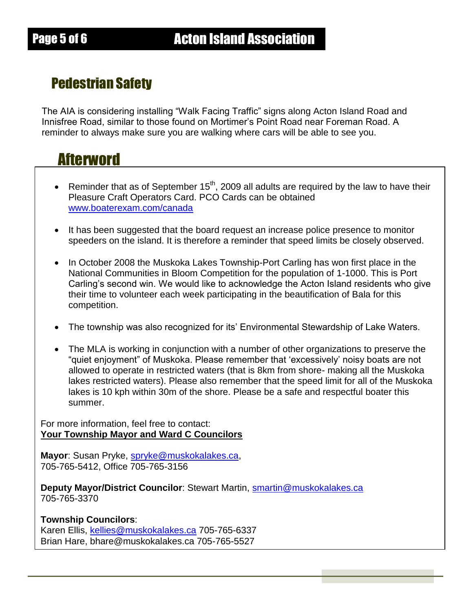# Pedestrian Safety

The AIA is considering installing "Walk Facing Traffic" signs along Acton Island Road and Innisfree Road, similar to those found on Mortimer"s Point Road near Foreman Road. A reminder to always make sure you are walking where cars will be able to see you.

# Afterword

- Reminder that as of September 15<sup>th</sup>, 2009 all adults are required by the law to have their Pleasure Craft Operators Card. PCO Cards can be obtained [www.boaterexam.com/canada](http://www.boaterexam.com/canada)
- It has been suggested that the board request an increase police presence to monitor speeders on the island. It is therefore a reminder that speed limits be closely observed.
- In October 2008 the Muskoka Lakes Township-Port Carling has won first place in the National Communities in Bloom Competition for the population of 1-1000. This is Port Carling"s second win. We would like to acknowledge the Acton Island residents who give their time to volunteer each week participating in the beautification of Bala for this competition.
- The township was also recognized for its' Environmental Stewardship of Lake Waters.
- The MLA is working in conjunction with a number of other organizations to preserve the "quiet enjoyment" of Muskoka. Please remember that "excessively" noisy boats are not allowed to operate in restricted waters (that is 8km from shore- making all the Muskoka lakes restricted waters). Please also remember that the speed limit for all of the Muskoka lakes is 10 kph within 30m of the shore. Please be a safe and respectful boater this summer.

For more information, feel free to contact: **Your Township Mayor and Ward C Councilors**

**Mayor**: Susan Pryke, [spryke@muskokalakes.ca,](mailto:spryke@muskokalakes.ca) 705-765-5412, Office 705-765-3156

**Deputy Mayor/District Councilor**: Stewart Martin, [smartin@muskokalakes.ca](mailto:smartin@muskokalakes.ca) 705-765-3370

#### **Township Councilors**:

Karen Ellis, [kellies@muskokalakes.ca](mailto:kellies@muskokalakes.ca) 705-765-6337 Brian Hare, bhare@muskokalakes.ca 705-765-5527